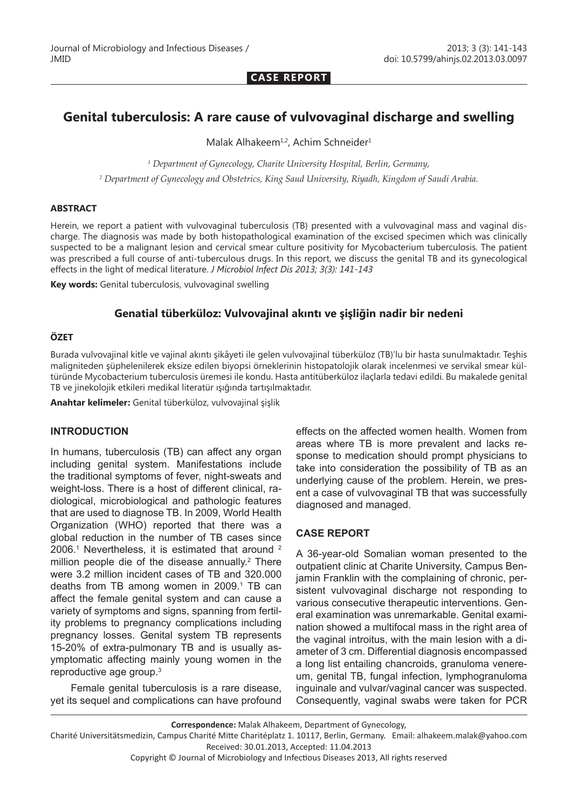**CASE REPORT**

# **Genital tuberculosis: A rare cause of vulvovaginal discharge and swelling**

Malak Alhakeem<sup>1,2</sup>, Achim Schneider<sup>1</sup>

*1 Department of Gynecology, Charite University Hospital, Berlin, Germany, 2 Department of Gynecology and Obstetrics, King Saud University, Riyadh, Kingdom of Saudi Arabia.*

### **ABSTRACT**

Herein, we report a patient with vulvovaginal tuberculosis (TB) presented with a vulvovaginal mass and vaginal discharge. The diagnosis was made by both histopathological examination of the excised specimen which was clinically suspected to be a malignant lesion and cervical smear culture positivity for Mycobacterium tuberculosis. The patient was prescribed a full course of anti-tuberculous drugs. In this report, we discuss the genital TB and its gynecological effects in the light of medical literature. *J Microbiol Infect Dis 2013; 3(3): 141-143*

**Key words:** Genital tuberculosis, vulvovaginal swelling

## **Genatial tüberküloz: Vulvovajinal akıntı ve şişliğin nadir bir nedeni**

### **ÖZET**

Burada vulvovajinal kitle ve vajinal akıntı şikâyeti ile gelen vulvovajinal tüberküloz (TB)'lu bir hasta sunulmaktadır. Teşhis maligniteden şüphelenilerek eksize edilen biyopsi örneklerinin histopatolojik olarak incelenmesi ve servikal smear kültüründe Mycobacterium tuberculosis üremesi ile kondu. Hasta antitüberküloz ilaçlarla tedavi edildi. Bu makalede genital TB ve jinekolojik etkileri medikal literatür ışığında tartışılmaktadır.

**Anahtar kelimeler:** Genital tüberküloz, vulvovajinal şişlik

### **INTRODUCTION**

In humans, tuberculosis (TB) can affect any organ including genital system. Manifestations include the traditional symptoms of fever, night-sweats and weight-loss. There is a host of different clinical, radiological, microbiological and pathologic features that are used to diagnose TB. In 2009, World Health Organization (WHO) reported that there was a global reduction in the number of TB cases since 2006.<sup>1</sup> Nevertheless, it is estimated that around <sup>2</sup> million people die of the disease annually.<sup>2</sup> There were 3.2 million incident cases of TB and 320.000 deaths from TB among women in 2009.<sup>1</sup> TB can affect the female genital system and can cause a variety of symptoms and signs, spanning from fertility problems to pregnancy complications including pregnancy losses. Genital system TB represents 15-20% of extra-pulmonary TB and is usually asymptomatic affecting mainly young women in the reproductive age group.3

Female genital tuberculosis is a rare disease, yet its sequel and complications can have profound effects on the affected women health. Women from areas where TB is more prevalent and lacks response to medication should prompt physicians to take into consideration the possibility of TB as an underlying cause of the problem. Herein, we present a case of vulvovaginal TB that was successfully diagnosed and managed.

## **CASE REPORT**

A 36-year-old Somalian woman presented to the outpatient clinic at Charite University, Campus Benjamin Franklin with the complaining of chronic, persistent vulvovaginal discharge not responding to various consecutive therapeutic interventions. General examination was unremarkable. Genital examination showed a multifocal mass in the right area of the vaginal introitus, with the main lesion with a diameter of 3 cm. Differential diagnosis encompassed a long list entailing chancroids, granuloma venereum, genital TB, fungal infection, lymphogranuloma inguinale and vulvar/vaginal cancer was suspected. Consequently, vaginal swabs were taken for PCR

*J Microbiol Infect Dis www.jmidonline.org Vol 3, No 3, September 2013* Copyright © Journal of Microbiology and Infectious Diseases 2013, All rights reserved

**Correspondence:** Malak Alhakeem, Department of Gynecology,

Charité Universitätsmedizin, Campus Charité Mitte Charitéplatz 1. 10117, Berlin, Germany. Email: alhakeem.malak@yahoo.com Received: 30.01.2013, Accepted: 11.04.2013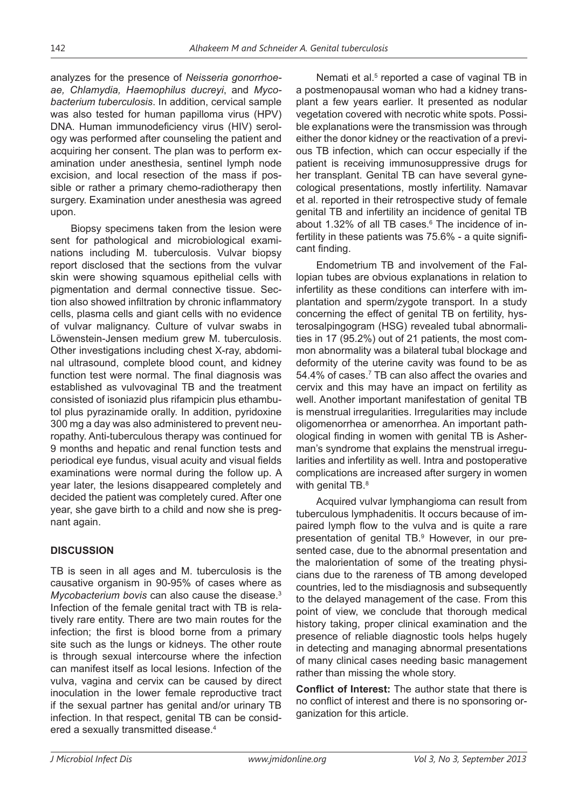analyzes for the presence of *Neisseria gonorrhoeae, Chlamydia, Haemophilus ducreyi*, and *Mycobacterium tuberculosis*. In addition, cervical sample was also tested for human papilloma virus (HPV) DNA. Human immunodeficiency virus (HIV) serology was performed after counseling the patient and acquiring her consent. The plan was to perform examination under anesthesia, sentinel lymph node excision, and local resection of the mass if possible or rather a primary chemo-radiotherapy then surgery. Examination under anesthesia was agreed upon.

Biopsy specimens taken from the lesion were sent for pathological and microbiological examinations including M. tuberculosis. Vulvar biopsy report disclosed that the sections from the vulvar skin were showing squamous epithelial cells with pigmentation and dermal connective tissue. Section also showed infiltration by chronic inflammatory cells, plasma cells and giant cells with no evidence of vulvar malignancy. Culture of vulvar swabs in Löwenstein-Jensen medium grew M. tuberculosis. Other investigations including chest X-ray, abdominal ultrasound, complete blood count, and kidney function test were normal. The final diagnosis was established as vulvovaginal TB and the treatment consisted of isoniazid plus rifampicin plus ethambutol plus pyrazinamide orally. In addition, pyridoxine 300 mg a day was also administered to prevent neuropathy. Anti-tuberculous therapy was continued for 9 months and hepatic and renal function tests and periodical eye fundus, visual acuity and visual fields examinations were normal during the follow up. A year later, the lesions disappeared completely and decided the patient was completely cured. After one year, she gave birth to a child and now she is pregnant again.

# **DISCUSSION**

TB is seen in all ages and M. tuberculosis is the causative organism in 90-95% of cases where as *Mycobacterium bovis* can also cause the disease.3 Infection of the female genital tract with TB is relatively rare entity. There are two main routes for the infection; the first is blood borne from a primary site such as the lungs or kidneys. The other route is through sexual intercourse where the infection can manifest itself as local lesions. Infection of the vulva, vagina and cervix can be caused by direct inoculation in the lower female reproductive tract if the sexual partner has genital and/or urinary TB infection. In that respect, genital TB can be considered a sexually transmitted disease.4

Nemati et al.<sup>5</sup> reported a case of vaginal TB in a postmenopausal woman who had a kidney transplant a few years earlier. It presented as nodular vegetation covered with necrotic white spots. Possible explanations were the transmission was through either the donor kidney or the reactivation of a previous TB infection, which can occur especially if the patient is receiving immunosuppressive drugs for her transplant. Genital TB can have several gynecological presentations, mostly infertility. Namavar et al. reported in their retrospective study of female genital TB and infertility an incidence of genital TB about 1.32% of all TB cases.6 The incidence of infertility in these patients was 75.6% - a quite significant finding.

Endometrium TB and involvement of the Fallopian tubes are obvious explanations in relation to infertility as these conditions can interfere with implantation and sperm/zygote transport. In a study concerning the effect of genital TB on fertility, hysterosalpingogram (HSG) revealed tubal abnormalities in 17 (95.2%) out of 21 patients, the most common abnormality was a bilateral tubal blockage and deformity of the uterine cavity was found to be as 54.4% of cases.<sup>7</sup> TB can also affect the ovaries and cervix and this may have an impact on fertility as well. Another important manifestation of genital TB is menstrual irregularities. Irregularities may include oligomenorrhea or amenorrhea. An important pathological finding in women with genital TB is Asherman's syndrome that explains the menstrual irregularities and infertility as well. Intra and postoperative complications are increased after surgery in women with genital TB.<sup>8</sup>

Acquired vulvar lymphangioma can result from tuberculous lymphadenitis. It occurs because of impaired lymph flow to the vulva and is quite a rare presentation of genital TB.<sup>9</sup> However, in our presented case, due to the abnormal presentation and the malorientation of some of the treating physicians due to the rareness of TB among developed countries, led to the misdiagnosis and subsequently to the delayed management of the case. From this point of view, we conclude that thorough medical history taking, proper clinical examination and the presence of reliable diagnostic tools helps hugely in detecting and managing abnormal presentations of many clinical cases needing basic management rather than missing the whole story.

**Conflict of Interest:** The author state that there is no conflict of interest and there is no sponsoring organization for this article.